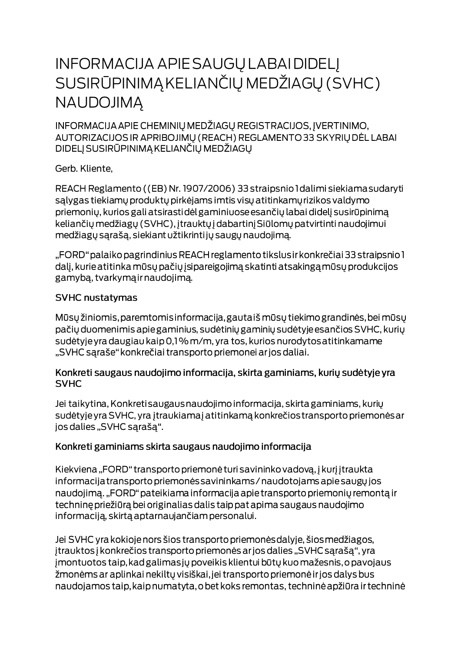# **INFORMACIJA APIE SAUGŲ LABAI DIDELĮ** SUSIRŪPINIMĄ KELIANČIŲ MEDŽIAGŲ (SVHC) **NAUDOJIMA**

INFORMACIJA APIE CHEMINIŲ MEDŽIAGŲ REGISTRACIJOS, ĮVERTINIMO, AUTORIZACIJOS IR APRIBOJIMŲ (REACH) REGLAMENTO 33 SKYRIŲ DĖL LABAI DIDELJ SUSIRŪPINIMĄ KELIANČIŲ MEDŽIAGŲ

Gerb. Kliente,

REACH Reglamento ((EB) Nr. 1907/2006) 33 straipsnio I dalimi siekiama sudaryti salygas tiekiamų produktų pirkėjams imtis visų atitinkamų rizikos valdymo priemonių, kurios gali atsirastidėl gaminiuose esančių labai didelį susirūpinimą keliančių medžiagų (SVHC), įtrauktų į dabartinį Siūlomų patvirtinti naudojimui medžiagų sąrašą, siekiant užtikrintijų saugų naudojimą.

"FORD" palaiko pagrindinius REACH reglamento tikslus ir konkrečiai 33 straipsnio 1 dalį, kurie atitinka mūsų pačių įsipareigojimą skatinti atsakingą mūsų produkcijos gamybą, tvarkymą ir naudojimą.

#### **SVHC nustatymas**

Mūsų žiniomis, paremtomis informacija, gautaiš mūsų tiekimo grandinės, bei mūsų pačių duomenimis apie gaminius, sudėtinių gaminių sudėtyje esančios SVHC, kurių sudėtyje yra daugiau kaip 0,1% m/m, yra tos, kurios nurodytos atitinkamame "SVHC sąraše" konkrečiai transporto priemonei ar jos daliai.

#### Konkreti saugaus naudojimo informacija, skirta gaminiams, kurių sudėtyje yra **SVHC**

Jei taikytina, Konkreti saugaus naudojimo informacija, skirta gaminiams, kurių sudėtyje yra SVHC, yra įtraukiamaj atitinkamą konkrečios transporto priemonės ar jos dalies "SVHC sąrašą".

### Konkreti gaminiams skirta saugaus naudojimo informacija

Kiekviena "FORD" transporto priemonė turi savininko vadovą, į kurį įtraukta informacija transporto priemonės savininkams / naudotojams apie saugų jos naudojimą. "FORD" pateikiama informacija apie transporto priemonių remontą ir techninę priežiūrą bei originalias dalis taip pat apima saugaus naudojimo informaciją, skirtą aptarnaujančiam personalui.

Jei SVHC yra kokioje nors šios transporto priemonės dalyje, šios medžiagos, įtrauktos į konkrečios transporto priemonės ar jos dalies "SVHC sąrašą", yra jmontuotos taip, kad galimas jų poveikis klientui būtų kuo mažesnis, o pavojaus žmonėms ar aplinkai nekiltų visiškai, jei transporto priemonė ir jos dalys bus naudojamos taip, kaip numatyta, o bet koks remontas, techninė apžiūra ir techninė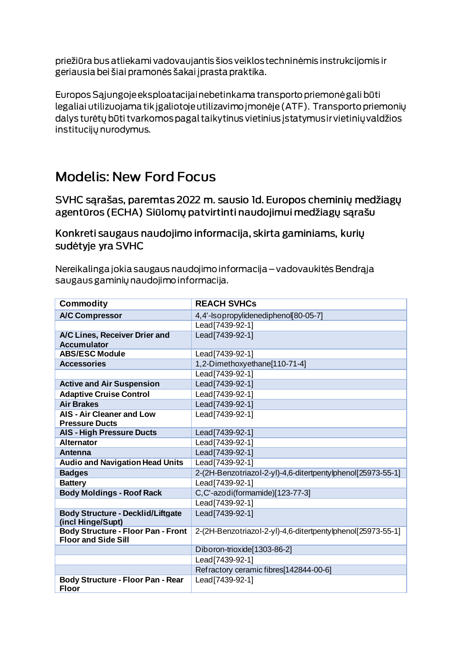priežiūra bus atliekami vadovaujantis šios veiklos techninėmis instrukcijomis ir geriausia bei šiai pramonės šakai į prasta praktika.

Europos Sąjungoje eksploatacijai nebetinkama transporto priemonė gali būti legaliai utilizuojama tik įgaliotoje utilizavimo įmonėje (ATF). Transporto priemonių dalys turėtų būti tvarkomos pagal taikytinus vietinius įstatymus ir vietinių valdžios institucijų nurodymus.

## **Modelis: New Ford Focus**

SVHC sarašas, paremtas 2022 m. sausio Id. Europos cheminių medžiagų agentūros (ECHA) Siūlomų patvirtinti naudojimui medžiagų sąrašu

Konkreti saugaus naudojimo informacija, skirta gaminiams, kurių sudėtyje yra SVHC

Nereikalinga jokia saugaus naudojimo informacija – vadovaukitės Bendrąja saugaus gaminių naudojimo informacija.

| <b>Commodity</b>                                                        | <b>REACH SVHCs</b>                                          |
|-------------------------------------------------------------------------|-------------------------------------------------------------|
| <b>A/C Compressor</b>                                                   | 4,4'-Isopropylidenediphenol[80-05-7]                        |
|                                                                         | Lead [7439-92-1]                                            |
| A/C Lines, Receiver Drier and<br><b>Accumulator</b>                     | Lead [7439-92-1]                                            |
| <b>ABS/ESC Module</b>                                                   | Lead[7439-92-1]                                             |
| <b>Accessories</b>                                                      | 1,2-Dimethoxyethane[110-71-4]                               |
|                                                                         | Lead[7439-92-1]                                             |
| <b>Active and Air Suspension</b>                                        | Lead[7439-92-1]                                             |
| <b>Adaptive Cruise Control</b>                                          | Lead[7439-92-1]                                             |
| <b>Air Brakes</b>                                                       | Lead[7439-92-1]                                             |
| <b>AIS - Air Cleaner and Low</b><br><b>Pressure Ducts</b>               | Lead[7439-92-1]                                             |
| <b>AIS - High Pressure Ducts</b>                                        | Lead[7439-92-1]                                             |
| <b>Alternator</b>                                                       | Lead[7439-92-1]                                             |
| <b>Antenna</b>                                                          | Lead[7439-92-1]                                             |
| <b>Audio and Navigation Head Units</b>                                  | Lead[7439-92-1]                                             |
| <b>Badges</b>                                                           | 2-(2H-Benzotriazol-2-yl)-4,6-ditertpentylphenol[25973-55-1] |
| <b>Battery</b>                                                          | Lead[7439-92-1]                                             |
| <b>Body Moldings - Roof Rack</b>                                        | C,C'-azodi(formamide)[123-77-3]                             |
|                                                                         | Lead[7439-92-1]                                             |
| <b>Body Structure - Decklid/Liftgate</b><br>(incl Hinge/Supt)           | Lead[7439-92-1]                                             |
| <b>Body Structure - Floor Pan - Front</b><br><b>Floor and Side Sill</b> | 2-(2H-Benzotriazol-2-yl)-4,6-ditertpentylphenol[25973-55-1] |
|                                                                         | Diboron-trioxide[1303-86-2]                                 |
|                                                                         | Lead[7439-92-1]                                             |
|                                                                         | Refractory ceramic fibres[142844-00-6]                      |
| <b>Body Structure - Floor Pan - Rear</b><br><b>Floor</b>                | Lead[7439-92-1]                                             |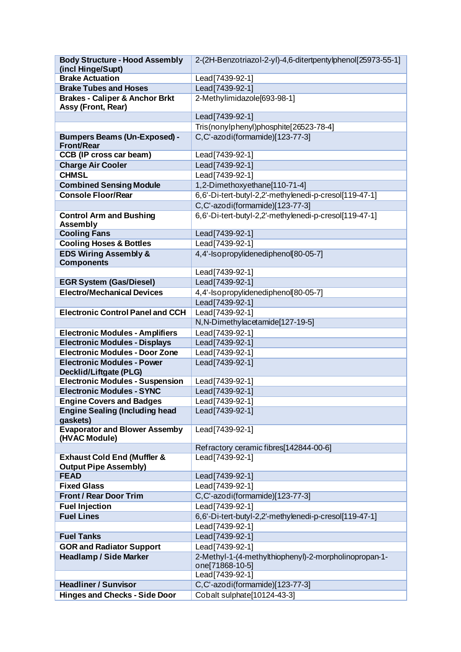| <b>Body Structure - Hood Assembly</b>                                  | 2-(2H-Benzotriazol-2-yl)-4,6-ditertpentylphenol[25973-55-1] |
|------------------------------------------------------------------------|-------------------------------------------------------------|
| (incl Hinge/Supt)                                                      |                                                             |
| <b>Brake Actuation</b>                                                 | Lead[7439-92-1]                                             |
| <b>Brake Tubes and Hoses</b>                                           | Lead[7439-92-1]                                             |
| <b>Brakes - Caliper &amp; Anchor Brkt</b><br>Assy (Front, Rear)        | 2-Methylimidazole[693-98-1]                                 |
|                                                                        | Lead[7439-92-1]                                             |
|                                                                        | Tris(nonylphenyl)phosphite[26523-78-4]                      |
| <b>Bumpers Beams (Un-Exposed) -</b><br><b>Front/Rear</b>               | C,C'-azodi(formamide)[123-77-3]                             |
| <b>CCB (IP cross car beam)</b>                                         | Lead[7439-92-1]                                             |
| <b>Charge Air Cooler</b>                                               | Lead[7439-92-1]                                             |
| <b>CHMSL</b>                                                           | Lead[7439-92-1]                                             |
| <b>Combined Sensing Module</b>                                         | 1,2-Dimethoxyethane[110-71-4]                               |
| <b>Console Floor/Rear</b>                                              | 6,6'-Di-tert-butyl-2,2'-methylenedi-p-cresol[119-47-1]      |
|                                                                        | C,C'-azodi(formamide)[123-77-3]                             |
| <b>Control Arm and Bushing</b><br>Assembly                             | 6,6'-Di-tert-butyl-2,2'-methylenedi-p-cresol[119-47-1]      |
| <b>Cooling Fans</b>                                                    | Lead[7439-92-1]                                             |
| <b>Cooling Hoses &amp; Bottles</b>                                     | Lead[7439-92-1]                                             |
| <b>EDS Wiring Assembly &amp;</b><br><b>Components</b>                  | 4,4'-Isopropylidenediphenol 80-05-7]                        |
|                                                                        | Lead[7439-92-1]                                             |
| <b>EGR System (Gas/Diesel)</b>                                         | Lead[7439-92-1]                                             |
| <b>Electro/Mechanical Devices</b>                                      | 4,4'-Isopropylidenediphenol[80-05-7]                        |
|                                                                        | Lead[7439-92-1]                                             |
| <b>Electronic Control Panel and CCH</b>                                | Lead[7439-92-1]                                             |
|                                                                        | N, N-Dimethylacetamide[127-19-5]                            |
| <b>Electronic Modules - Amplifiers</b>                                 | Lead[7439-92-1]                                             |
| <b>Electronic Modules - Displays</b>                                   | Lead[7439-92-1]                                             |
| <b>Electronic Modules - Door Zone</b>                                  | Lead[7439-92-1]                                             |
| <b>Electronic Modules - Power</b><br>Decklid/Liftgate (PLG)            | Lead[7439-92-1]                                             |
| <b>Electronic Modules - Suspension</b>                                 | Lead[7439-92-1]                                             |
| <b>Electronic Modules - SYNC</b>                                       | Lead[7439-92-1]                                             |
| <b>Engine Covers and Badges</b>                                        | Lead <sup>[7439-92-1]</sup>                                 |
| <b>Engine Sealing (Including head</b><br>gaskets)                      | Lead [7439-92-1]                                            |
| <b>Evaporator and Blower Assemby</b><br>(HVAC Module)                  | Lead[7439-92-1]                                             |
|                                                                        | Refractory ceramic fibres[142844-00-6]                      |
| <b>Exhaust Cold End (Muffler &amp;</b><br><b>Output Pipe Assembly)</b> | Lead[7439-92-1]                                             |
| <b>FEAD</b>                                                            | Lead[7439-92-1]                                             |
| <b>Fixed Glass</b>                                                     | Lead[7439-92-1]                                             |
| <b>Front / Rear Door Trim</b>                                          | C,C'-azodi(formamide)[123-77-3]                             |
| <b>Fuel Injection</b>                                                  | Lead[7439-92-1]                                             |
| <b>Fuel Lines</b>                                                      | 6,6'-Di-tert-butyl-2,2'-methylenedi-p-cresol[119-47-1]      |
|                                                                        | Lead[7439-92-1]                                             |
| <b>Fuel Tanks</b>                                                      | Lead[7439-92-1]                                             |
| <b>GOR and Radiator Support</b>                                        | Lead[7439-92-1]                                             |
| <b>Headlamp / Side Marker</b>                                          | 2-Methyl-1-(4-methylthiophenyl)-2-morpholinopropan-1-       |
|                                                                        | one[71868-10-5]                                             |
|                                                                        | Lead[7439-92-1]                                             |
| <b>Headliner / Sunvisor</b>                                            | C,C'-azodi(formamide)[123-77-3]                             |
| <b>Hinges and Checks - Side Door</b>                                   | Cobalt sulphate[10124-43-3]                                 |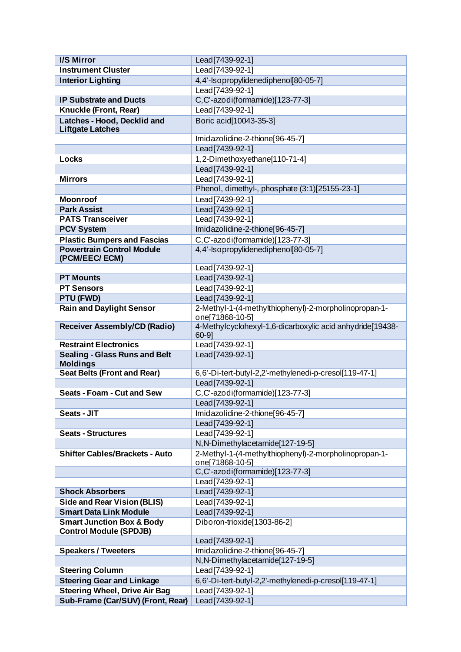| <b>I/S Mirror</b>                     | Lead[7439-92-1]                                           |
|---------------------------------------|-----------------------------------------------------------|
| <b>Instrument Cluster</b>             | Lead[7439-92-1]                                           |
| <b>Interior Lighting</b>              | 4,4'-Isopropylidenediphenol[80-05-7]                      |
|                                       | Lead[7439-92-1]                                           |
| <b>IP Substrate and Ducts</b>         | C,C'-azodi(formamide)[123-77-3]                           |
| Knuckle (Front, Rear)                 | Lead[7439-92-1]                                           |
| Latches - Hood, Decklid and           | Boric acid[10043-35-3]                                    |
| <b>Liftgate Latches</b>               |                                                           |
|                                       | Imidazolidine-2-thione[96-45-7]                           |
|                                       | Lead[7439-92-1]                                           |
| Locks                                 | 1,2-Dimethoxyethane[110-71-4]                             |
|                                       | Lead[7439-92-1]                                           |
| <b>Mirrors</b>                        | Lead[7439-92-1]                                           |
|                                       | Phenol, dimethyl-, phosphate (3:1)[25155-23-1]            |
| <b>Moonroof</b>                       | Lead[7439-92-1]                                           |
| <b>Park Assist</b>                    | Lead[7439-92-1]                                           |
| <b>PATS Transceiver</b>               | Lead [7439-92-1]                                          |
| <b>PCV System</b>                     | Imidazolidine-2-thione[96-45-7]                           |
| <b>Plastic Bumpers and Fascias</b>    | C,C'-azodi(formamide)[123-77-3]                           |
| <b>Powertrain Control Module</b>      | 4,4'-Isopropylidenediphenol[80-05-7]                      |
| (PCM/EEC/ECM)                         |                                                           |
|                                       | Lead[7439-92-1]                                           |
| <b>PT Mounts</b>                      | Lead[7439-92-1]                                           |
| <b>PT Sensors</b>                     | Lead[7439-92-1]                                           |
| PTU (FWD)                             | Lead [7439-92-1]                                          |
| <b>Rain and Daylight Sensor</b>       | 2-Methyl-1-(4-methylthiophenyl)-2-morpholinopropan-1-     |
|                                       | one[71868-10-5]                                           |
| <b>Receiver Assembly/CD (Radio)</b>   | 4-Methylcyclohexyl-1,6-dicarboxylic acid anhydride[19438- |
|                                       | $60-9$ ]                                                  |
| <b>Restraint Electronics</b>          | Lead[7439-92-1]                                           |
| <b>Sealing - Glass Runs and Belt</b>  | Lead[7439-92-1]                                           |
| <b>Moldings</b>                       |                                                           |
| <b>Seat Belts (Front and Rear)</b>    | 6,6'-Di-tert-butyl-2,2'-methylenedi-p-cresol[119-47-1]    |
|                                       | Lead[7439-92-1]                                           |
| <b>Seats - Foam - Cut and Sew</b>     | C,C'-azodi(formamide)[123-77-3]                           |
|                                       | Lead[7439-92-1]                                           |
| Seats - JIT                           | Imidazolidine-2-thione[96-45-7]                           |
|                                       | Lead[7439-92-1]                                           |
| <b>Seats - Structures</b>             | Lead[7439-92-1]                                           |
|                                       | N, N-Dimethylacetamide[127-19-5]                          |
| <b>Shifter Cables/Brackets - Auto</b> | 2-Methyl-1-(4-methylthiophenyl)-2-morpholinopropan-1-     |
|                                       | one[71868-10-5]                                           |
|                                       | C,C'-azodi(formamide)[123-77-3]                           |
|                                       | Lead[7439-92-1]                                           |
| <b>Shock Absorbers</b>                | Lead[7439-92-1]                                           |
| <b>Side and Rear Vision (BLIS)</b>    | Lead[7439-92-1]                                           |
| <b>Smart Data Link Module</b>         | Lead[7439-92-1]                                           |
| <b>Smart Junction Box &amp; Body</b>  | Diboron-trioxide[1303-86-2]                               |
| <b>Control Module (SPDJB)</b>         |                                                           |
|                                       | Lead[7439-92-1]                                           |
| <b>Speakers / Tweeters</b>            | Imidazolidine-2-thione[96-45-7]                           |
|                                       | N, N-Dimethylacetamide[127-19-5]                          |
| <b>Steering Column</b>                | Lead[7439-92-1]                                           |
| <b>Steering Gear and Linkage</b>      | 6,6'-Di-tert-butyl-2,2'-methylenedi-p-cresol[119-47-1]    |
| <b>Steering Wheel, Drive Air Bag</b>  | Lead[7439-92-1]                                           |
| Sub-Frame (Car/SUV) (Front, Rear)     | Lead[7439-92-1]                                           |